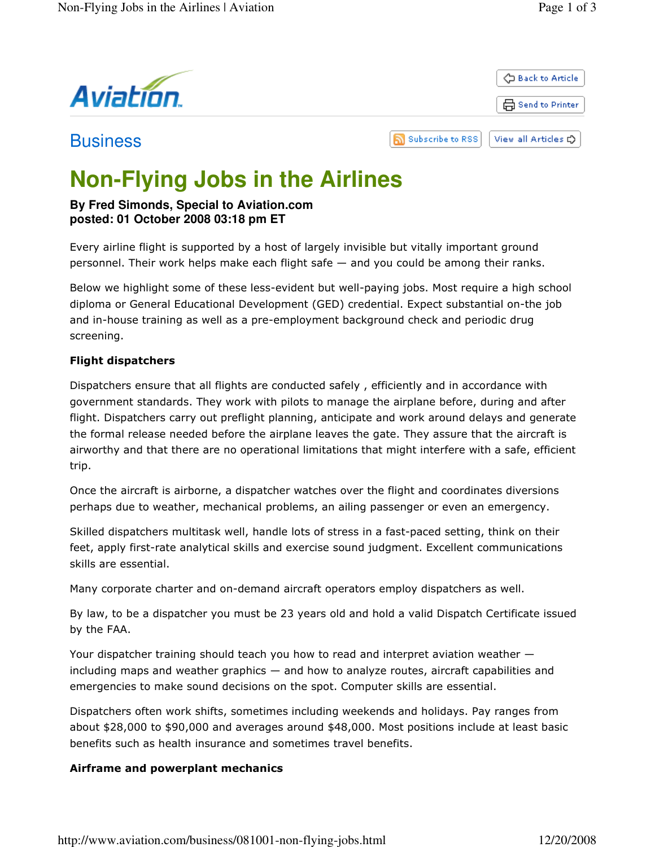



# **Business**

வ **Subscribe to RSS** 

View all Articles E)

# **Non-Flying Jobs in the Airlines**

## **By Fred Simonds, Special to Aviation.com posted: 01 October 2008 03:18 pm ET**

Every airline flight is supported by a host of largely invisible but vitally important ground personnel. Their work helps make each flight safe — and you could be among their ranks.

Below we highlight some of these less-evident but well-paying jobs. Most require a high school diploma or General Educational Development (GED) credential. Expect substantial on-the job and in-house training as well as a pre-employment background check and periodic drug screening.

## Flight dispatchers

Dispatchers ensure that all flights are conducted safely , efficiently and in accordance with government standards. They work with pilots to manage the airplane before, during and after flight. Dispatchers carry out preflight planning, anticipate and work around delays and generate the formal release needed before the airplane leaves the gate. They assure that the aircraft is airworthy and that there are no operational limitations that might interfere with a safe, efficient trip.

Once the aircraft is airborne, a dispatcher watches over the flight and coordinates diversions perhaps due to weather, mechanical problems, an ailing passenger or even an emergency.

Skilled dispatchers multitask well, handle lots of stress in a fast-paced setting, think on their feet, apply first-rate analytical skills and exercise sound judgment. Excellent communications skills are essential.

Many corporate charter and on-demand aircraft operators employ dispatchers as well.

By law, to be a dispatcher you must be 23 years old and hold a valid Dispatch Certificate issued by the FAA.

Your dispatcher training should teach you how to read and interpret aviation weather  $$ including maps and weather graphics — and how to analyze routes, aircraft capabilities and emergencies to make sound decisions on the spot. Computer skills are essential.

Dispatchers often work shifts, sometimes including weekends and holidays. Pay ranges from about \$28,000 to \$90,000 and averages around \$48,000. Most positions include at least basic benefits such as health insurance and sometimes travel benefits.

# Airframe and powerplant mechanics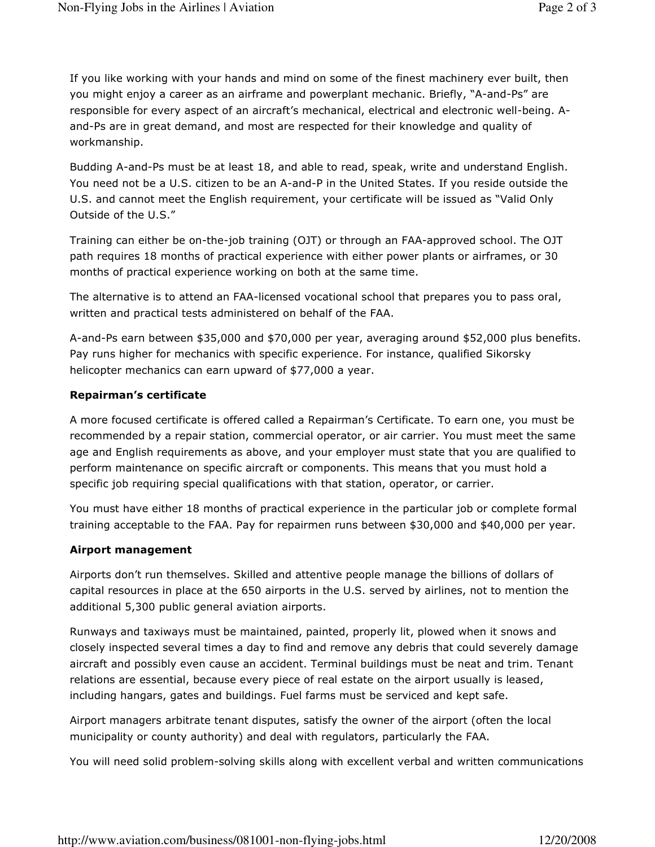If you like working with your hands and mind on some of the finest machinery ever built, then you might enjoy a career as an airframe and powerplant mechanic. Briefly, "A-and-Ps" are responsible for every aspect of an aircraft's mechanical, electrical and electronic well-being. Aand-Ps are in great demand, and most are respected for their knowledge and quality of workmanship.

Budding A-and-Ps must be at least 18, and able to read, speak, write and understand English. You need not be a U.S. citizen to be an A-and-P in the United States. If you reside outside the U.S. and cannot meet the English requirement, your certificate will be issued as "Valid Only Outside of the U.S."

Training can either be on-the-job training (OJT) or through an FAA-approved school. The OJT path requires 18 months of practical experience with either power plants or airframes, or 30 months of practical experience working on both at the same time.

The alternative is to attend an FAA-licensed vocational school that prepares you to pass oral, written and practical tests administered on behalf of the FAA.

A-and-Ps earn between \$35,000 and \$70,000 per year, averaging around \$52,000 plus benefits. Pay runs higher for mechanics with specific experience. For instance, qualified Sikorsky helicopter mechanics can earn upward of \$77,000 a year.

#### Repairman's certificate

A more focused certificate is offered called a Repairman's Certificate. To earn one, you must be recommended by a repair station, commercial operator, or air carrier. You must meet the same age and English requirements as above, and your employer must state that you are qualified to perform maintenance on specific aircraft or components. This means that you must hold a specific job requiring special qualifications with that station, operator, or carrier.

You must have either 18 months of practical experience in the particular job or complete formal training acceptable to the FAA. Pay for repairmen runs between \$30,000 and \$40,000 per year.

#### Airport management

Airports don't run themselves. Skilled and attentive people manage the billions of dollars of capital resources in place at the 650 airports in the U.S. served by airlines, not to mention the additional 5,300 public general aviation airports.

Runways and taxiways must be maintained, painted, properly lit, plowed when it snows and closely inspected several times a day to find and remove any debris that could severely damage aircraft and possibly even cause an accident. Terminal buildings must be neat and trim. Tenant relations are essential, because every piece of real estate on the airport usually is leased, including hangars, gates and buildings. Fuel farms must be serviced and kept safe.

Airport managers arbitrate tenant disputes, satisfy the owner of the airport (often the local municipality or county authority) and deal with regulators, particularly the FAA.

You will need solid problem-solving skills along with excellent verbal and written communications